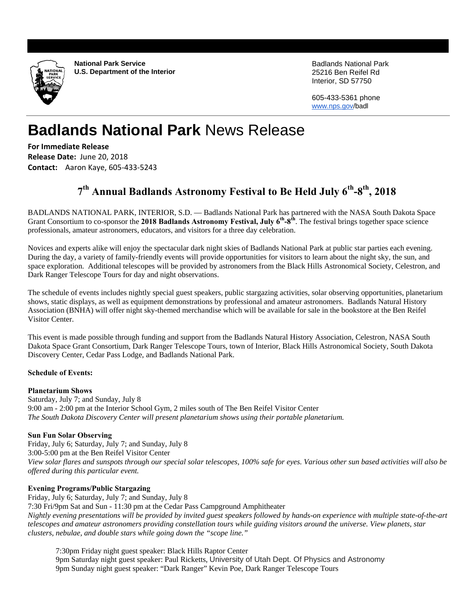

**National Park Service U.S. Department of the Interior** Badlands National Park 25216 Ben Reifel Rd Interior, SD 57750

605-433-5361 phone www.nps.gov/badl

# **Badlands National Park** News Release

**For Immediate Release Release Date:** June 20, 2018 **Contact:** Aaron Kaye, 605‐433‐5243

## <sup>7<sup>th</sup> Annual Badlands Astronomy Festival to Be Held July 6<sup>th</sup>-8<sup>th</sup>, 2018</sup>

BADLANDS NATIONAL PARK, INTERIOR, S.D. — Badlands National Park has partnered with the NASA South Dakota Space Grant Consortium to co-sponsor the 2018 Badlands Astronomy Festival, July 6<sup>th</sup>-8<sup>th</sup>. The festival brings together space science professionals, amateur astronomers, educators, and visitors for a three day celebration.

Novices and experts alike will enjoy the spectacular dark night skies of Badlands National Park at public star parties each evening. During the day, a variety of family-friendly events will provide opportunities for visitors to learn about the night sky, the sun, and space exploration. Additional telescopes will be provided by astronomers from the Black Hills Astronomical Society, Celestron, and Dark Ranger Telescope Tours for day and night observations.

The schedule of events includes nightly special guest speakers, public stargazing activities, solar observing opportunities, planetarium shows, static displays, as well as equipment demonstrations by professional and amateur astronomers. Badlands Natural History Association (BNHA) will offer night sky-themed merchandise which will be available for sale in the bookstore at the Ben Reifel Visitor Center.

This event is made possible through funding and support from the Badlands Natural History Association, Celestron, NASA South Dakota Space Grant Consortium, Dark Ranger Telescope Tours, town of Interior, Black Hills Astronomical Society, South Dakota Discovery Center, Cedar Pass Lodge, and Badlands National Park.

### **Schedule of Events:**

#### **Planetarium Shows**

Saturday, July 7; and Sunday, July 8 9:00 am - 2:00 pm at the Interior School Gym, 2 miles south of The Ben Reifel Visitor Center *The South Dakota Discovery Center will present planetarium shows using their portable planetarium.* 

#### **Sun Fun Solar Observing**

Friday, July 6; Saturday, July 7; and Sunday, July 8 3:00-5:00 pm at the Ben Reifel Visitor Center *View solar flares and sunspots through our special solar telescopes, 100% safe for eyes. Various other sun based activities will also be offered during this particular event.*

#### **Evening Programs/Public Stargazing**

Friday, July 6; Saturday, July 7; and Sunday, July 8 7:30 Fri/9pm Sat and Sun - 11:30 pm at the Cedar Pass Campground Amphitheater

*Nightly evening presentations will be provided by invited guest speakers followed by hands-on experience with multiple state-of-the-art telescopes and amateur astronomers providing constellation tours while guiding visitors around the universe. View planets, star clusters, nebulae, and double stars while going down the "scope line."* 

7:30pm Friday night guest speaker: Black Hills Raptor Center 9pm Saturday night guest speaker: Paul Ricketts, University of Utah Dept. Of Physics and Astronomy 9pm Sunday night guest speaker: "Dark Ranger" Kevin Poe, Dark Ranger Telescope Tours